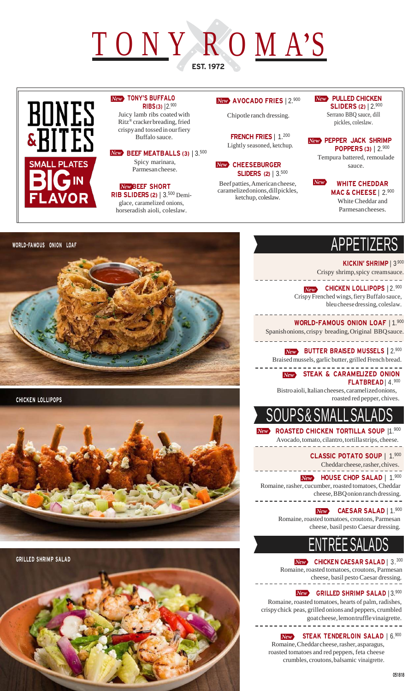# TONY ROMA'S EST. 1972



#### **New** TONY'S BUFFALO RIBS(3) |2.<sup>900</sup> Juicy lamb ribs coated with

Ritz® cracker breading, fried crispy and tossedin our fiery Buffalo sauce.

#### New BEEF MEATBALLS (3) | 3.<sup>500</sup> Spicy marinara, Parmesan cheese.

**New BEEF SHORT** RIB SLIDERS (2) | 3.<sup>500</sup> Demiglace, caramelized onions, horseradish aioli, coleslaw.

#### AVOCADO FRIES | 2.<sup>900</sup>

Chipotle ranch dressing.

FRENCH FRIES | 1.200 Lightly seasoned, ketchup.

**New CHEESEBURGER SLIDERS (2)** | 3.<sup>500</sup>

Beef patties, American cheese, caramelizedonions, dill pickles, ketchup, coleslaw.

#### **New PULLED CHICKEN SLIDERS (2) | 2.900**

Serrano BBQ sauce, dill pickles, coleslaw.

**New PEPPER JACK SHRIMP** POPPERS (3) | 2.900

Tempura battered, remoulade sauce.

#### $New$ WHITE CHEDDAR MAC & CHEESE | 2.900

White Cheddar and Parmesan cheeses.

KICKIN' SHRIMP | 3.900 Crispy shrimp, spicy cream sauce. . \_ \_ \_ \_ \_ \_ \_ \_ \_ \_ \_ \_ \_ \_ \_ \_ \_ \_

New CHICKEN LOLLIPOPS | 2.900 Crispy Frenched wings, fiery Buffalo sauce, bleu cheese dressing, coleslaw.

WORLD-FAMOUS ONION LOAF | 1.900 Spanishonions, crispy breading, Original BBQsauce. 

**New** BUTTER BRAISED MUSSELS | 2.900 Braised mussels, garlic butter, grilled French bread. 

New STEAK & CARAMELIZED ONION FLATBREAD | 4.900

Bistro aioli, Italian cheeses, caramelized onions, roasted red pepper, chives.



ROASTED CHICKEN TORTILLA SOUP |1.900 Avocado, tomato, cilantro, tortilla strips, cheese.

> CLASSIC POTATO SOUP | 1.<sup>900</sup> Cheddar cheese, rasher, chives.

New **HOUSE CHOP SALAD** | 1.900

Romaine, rasher, cucumber, roasted tomatoes, Cheddar cheese, BBQonion ranch dressing. . <u>\_ \_ \_ \_ \_ \_ \_ \_ \_ \_ \_ \_ \_ \_ \_ \_ \_</u> \_

CAESAR SALAD | 1.<sup>900</sup>  $New$ Romaine, roasted tomatoes, croutons, Parmesan

cheese, basil pesto Caesar dressing.

### ENTRÉE SALADS

New CHICKEN CAESAR SALAD | 3.300 Romaine, roasted tomatoes, croutons, Parmesan cheese, basil pesto Caesar dressing.

New GRILLED SHRIMP SALAD | 3.900

Romaine, roasted tomatoes, hearts of palm, radishes, crispy chick peas, grilled onions and peppers, crumbled goat cheese, lemon trufflevinaigrette. <u>\_\_\_\_\_\_\_\_\_\_\_\_\_\_\_\_\_</u>

> STEAK TENDERLOIN SALAD | 6.900  $New$

Romaine, Cheddar cheese, rasher, asparagus, roasted tomatoes and red peppers, feta cheese crumbles, croutons, balsamic vinaigrette.



CHICKEN LOLLIPOPS



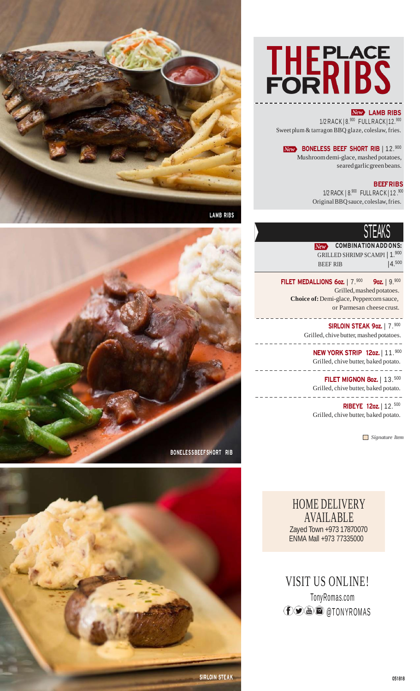

#### **New LAMB RIBS**

1/2 RACK | 8.<sup>900</sup> FULL RACK | 12.<sup>900</sup> Sweet plum & tarragon BBQ glaze, coleslaw, fries.

BONELESS BEEF SHORT RIB | 12. 900 Mushroom demi-glace, mashed potatoes, seared garlic green beans.

#### **BEEFRIBS**

1/2 RACK | 8.900 FULL RA C K | 12 .900 Original BBQ sauce, coleslaw, fries.

### VILNIV **I**

**New** COMBINATION ADD ONS: GRILLED SHRIMP SCAMPI | 1.<sup>900</sup> BEEF RIB  $14.500$ 

FILET MEDALLIONS 6oz. |  $7.900$  9oz. |  $9.900$ Grilled, mashed potatoes. **Choice of:** Demi-glace, Peppercorn sauce, or Parmesan cheese crust.

> . . . . . . . . . . . . . SIRLOIN STEAK 9oz. | 7.900 Grilled, chive butter, mashed potatoes.

NEW YORK STRIP 12oz. | 11. 900 Grilled, chive butter, baked potato.

-------------**FILET MIGNON 8oz.** | 13.<sup>500</sup>

Grilled, chive butter, baked potato. . \_ \_ \_ \_ \_ \_ \_ \_ \_ \_ \_ \_ \_ \_

RIBEYE 12oz. | 12. <sup>500</sup> Grilled, chive butter, baked potato.

*Signature Item*

HOME DELIVERY AVAILABLE Zayed Town +973 17870070 ENMA Mall +973 77335000

VISIT US ONLINE! TonyRomas.com **f**  $\odot$  <sup>*■*</sup> **a** atony romas





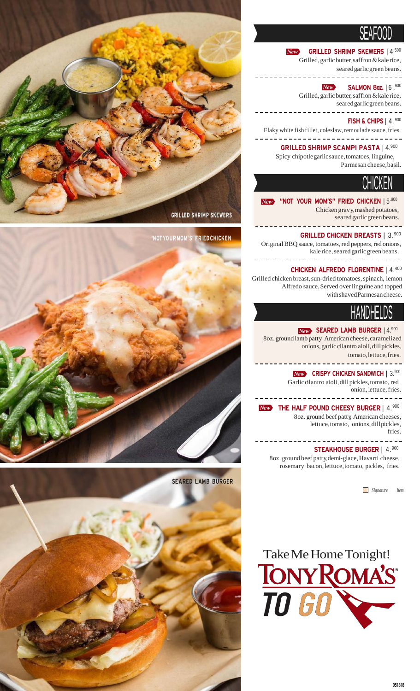### VLNI VVV

 $New$ GRILLED SHRIMP SKEWERS | 4.<sup>500</sup> Grilled, garlic butter, saffron & kale rice,

seared garlic green beans. ------------

 $New$ **SALMON 8oz.** | 6 .900 Grilled, garlic butter, saffron & kale rice, seared garlic green beans.

<u>\_\_\_\_\_\_\_\_\_\_\_\_\_\_\_\_\_\_\_\_</u>\_ FISH & CHIPS | 4. <sup>900</sup>

Flaky white fish fillet, coleslaw, remoulade sauce, fries. -----------------

> GRILLED SHRIMP SCAMPI PASTA | 4.<sup>900</sup> Spicy chipotle garlic sauce, tomatoes, linguine, Parmesan cheese,basil.

## VI IIVI\LI\

New "NOT YOUR MOM'S" FRIED CHICKEN | 5.900

Chicken gravy, mashed potatoes, seared garlic green beans.

. . . . . . . . .

GRILLED CHICKEN BREASTS | 3.900 Original BBQ sauce, tomatoes, red peppers, red onions, kale rice, seared garlic green beans.

CHICKEN ALFREDO FLORENTINE | 4.<sup>400</sup> Grilled chicken breast, sun-dried tomatoes, spinach, lemon Alfredo sauce. Served over linguine and topped with shaved Parmesan cheese.

### I INIVU ILLUV

#### New SEARED LAMB BURGER | 4.900

8oz. ground lamb patty American cheese, caramelized onions, garlic cilantro aioli, dill pickles, tomato, lettuce, fries.

**New CRISPY CHICKEN SANDWICH** | 3.900

<u>-------------------</u>

Garlic cilantro aioli, dill pickles, tomato, red onion, lettuce, fries. ------------------------------

<u>\_\_\_\_\_\_\_\_\_\_\_\_\_</u>

New THE HALF POUND CHEESY BURGER | 4.900 8oz. ground beef patty, American cheeses, lettuce, tomato, onions, dill pickles, fries.

STEAKHOUSE BURGER | 4.900

8oz. ground beef patty, demi-glace, Havarti cheese, rosemary bacon, lettuce, tomato, pickles, fries.

*Signature Item*